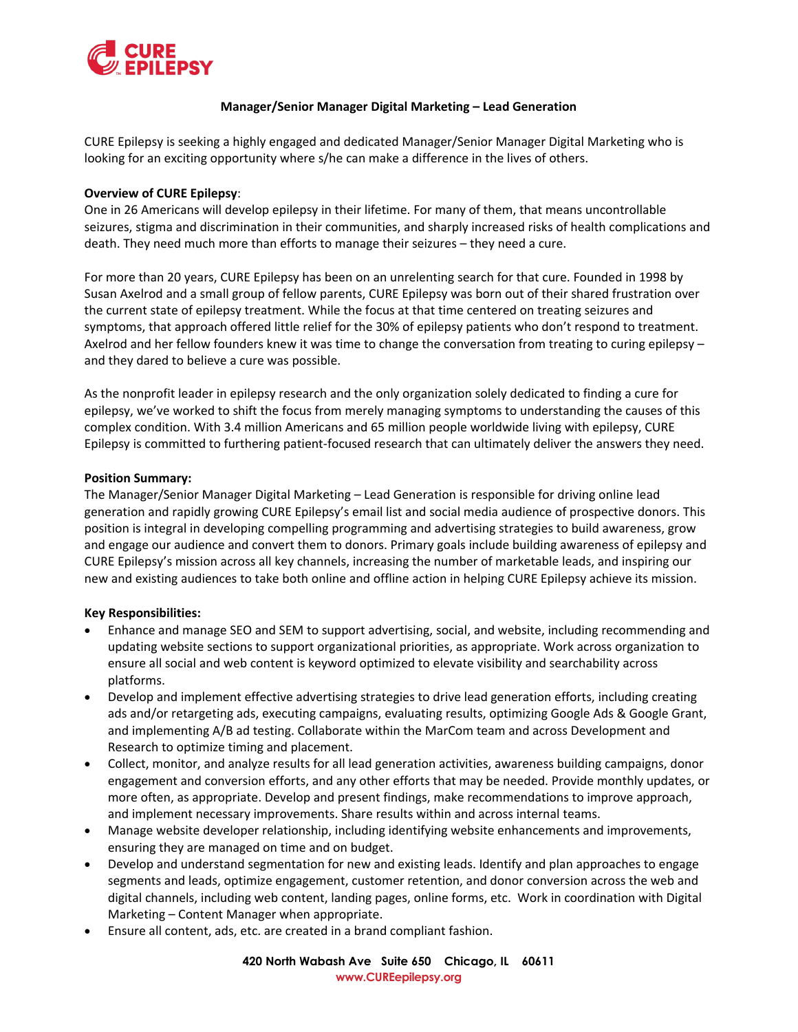

### **Manager/Senior Manager Digital Marketing – Lead Generation**

CURE Epilepsy is seeking a highly engaged and dedicated Manager/Senior Manager Digital Marketing who is looking for an exciting opportunity where s/he can make a difference in the lives of others.

#### **Overview of CURE Epilepsy**:

One in 26 Americans will develop epilepsy in their lifetime. For many of them, that means uncontrollable seizures, stigma and discrimination in their communities, and sharply increased risks of health complications and death. They need much more than efforts to manage their seizures – they need a cure.

For more than 20 years, CURE Epilepsy has been on an unrelenting search for that cure. Founded in 1998 by Susan Axelrod and a small group of fellow parents, CURE Epilepsy was born out of their shared frustration over the current state of epilepsy treatment. While the focus at that time centered on treating seizures and symptoms, that approach offered little relief for the 30% of epilepsy patients who don't respond to treatment. Axelrod and her fellow founders knew it was time to change the conversation from treating to curing epilepsy – and they dared to believe a cure was possible.

As the nonprofit leader in epilepsy research and the only organization solely dedicated to finding a cure for epilepsy, we've worked to shift the focus from merely managing symptoms to understanding the causes of this complex condition. With 3.4 million Americans and 65 million people worldwide living with epilepsy, CURE Epilepsy is committed to furthering patient-focused research that can ultimately deliver the answers they need.

#### **Position Summary:**

The Manager/Senior Manager Digital Marketing – Lead Generation is responsible for driving online lead generation and rapidly growing CURE Epilepsy's email list and social media audience of prospective donors. This position is integral in developing compelling programming and advertising strategies to build awareness, grow and engage our audience and convert them to donors. Primary goals include building awareness of epilepsy and CURE Epilepsy's mission across all key channels, increasing the number of marketable leads, and inspiring our new and existing audiences to take both online and offline action in helping CURE Epilepsy achieve its mission.

#### **Key Responsibilities:**

- Enhance and manage SEO and SEM to support advertising, social, and website, including recommending and updating website sections to support organizational priorities, as appropriate. Work across organization to ensure all social and web content is keyword optimized to elevate visibility and searchability across platforms.
- Develop and implement effective advertising strategies to drive lead generation efforts, including creating ads and/or retargeting ads, executing campaigns, evaluating results, optimizing Google Ads & Google Grant, and implementing A/B ad testing. Collaborate within the MarCom team and across Development and Research to optimize timing and placement.
- Collect, monitor, and analyze results for all lead generation activities, awareness building campaigns, donor engagement and conversion efforts, and any other efforts that may be needed. Provide monthly updates, or more often, as appropriate. Develop and present findings, make recommendations to improve approach, and implement necessary improvements. Share results within and across internal teams.
- Manage website developer relationship, including identifying website enhancements and improvements, ensuring they are managed on time and on budget.
- Develop and understand segmentation for new and existing leads. Identify and plan approaches to engage segments and leads, optimize engagement, customer retention, and donor conversion across the web and digital channels, including web content, landing pages, online forms, etc. Work in coordination with Digital Marketing – Content Manager when appropriate.
- Ensure all content, ads, etc. are created in a brand compliant fashion.